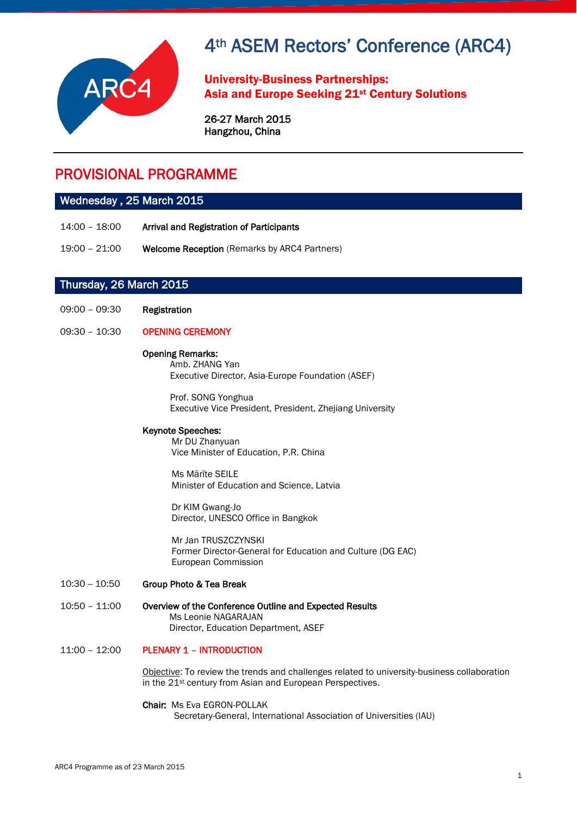

University-Business Partnerships: Asia and Europe Seeking 21st Century Solutions

26-27 March 2015 Hangzhou, China

# PROVISIONAL PROGRAMME

# Wednesday , 25 March 2015

- 14:00 18:00 Arrival and Registration of Participants
- 19:00 21:00 Welcome Reception (Remarks by ARC4 Partners)

## Thursday, 26 March 2015

09:00 – 09:30 Registration

### 09:30 - 10:30 **OPENING CEREMONY**

### Opening Remarks:

Amb. ZHANG Yan Executive Director, Asia-Europe Foundation (ASEF)

Prof. SONG Yonghua Executive Vice President, President, Zhejiang University

#### Keynote Speeches:

Mr DU Zhanyuan Vice Minister of Education, P.R. China

Ms Mārīte SEILE Minister of Education and Science, Latvia

Dr KIM Gwang-Jo Director, UNESCO Office in Bangkok

Mr Jan TRUSZCZYNSKI Former Director-General for Education and Culture (DG EAC) European Commission

- $10:30 10:50$ Group Photo & Tea Break
- 10:50 11:00 Overview of the Conference Outline and Expected Results Ms Leonie NAGARAJAN Director, Education Department, ASEF
- 11:00 12:00 PLENARY 1 INTRODUCTION

Objective: To review the trends and challenges related to university-business collaboration in the 21st century from Asian and European Perspectives.

#### Chair: Ms Eva EGRON-POLLAK

Secretary-General, International Association of Universities (IAU)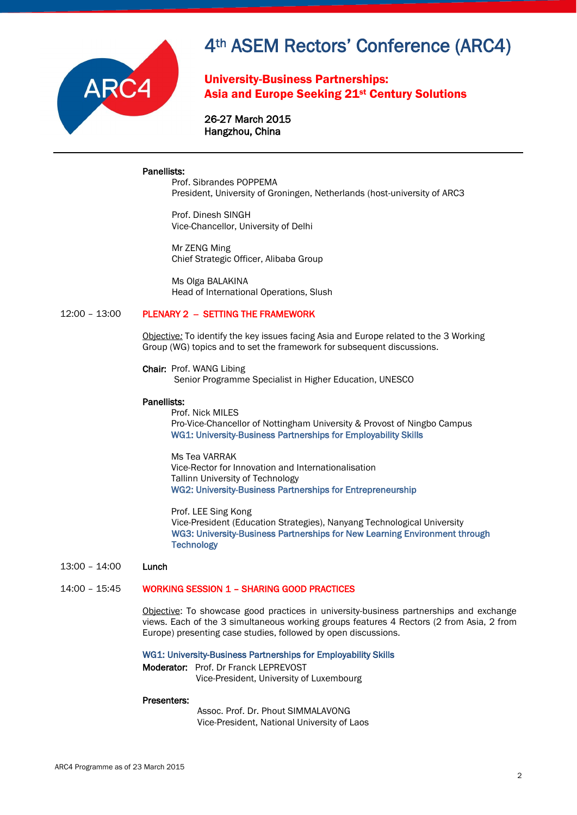

# University-Business Partnerships: Asia and Europe Seeking 21st Century Solutions

26-27 March 2015 Hangzhou, China

#### Panellists:

 Prof. Sibrandes POPPEMA President, University of Groningen, Netherlands (host-university of ARC3

 Prof. Dinesh SINGH Vice-Chancellor, University of Delhi

 Mr ZENG Ming Chief Strategic Officer, Alibaba Group

 Ms Olga BALAKINA Head of International Operations, Slush

### 12:00 - 13:00 PLENARY 2 - SETTING THE FRAMEWORK

Objective*:* To identify the key issues facing Asia and Europe related to the 3 Working Group (WG) topics and to set the framework for subsequent discussions.

#### Chair: Prof. WANG Libing Senior Programme Specialist in Higher Education, UNESCO

#### Panellists:

Prof. Nick MILES Pro-Vice-Chancellor of Nottingham University & Provost of Ningbo Campus WG1: University-Business Partnerships for Employability Skills

Ms Tea VARRAK Vice-Rector for Innovation and Internationalisation Tallinn University of Technology WG2: University-Business Partnerships for Entrepreneurship

Prof. LEE Sing Kong Vice-President (Education Strategies), Nanyang Technological University WG3: University-Business Partnerships for New Learning Environment through **Technology** 

#### 13:00 – 14:00 Lunch

### 14:00 – 15:45 WORKING SESSION 1 – SHARING GOOD PRACTICES

Objective: To showcase good practices in university-business partnerships and exchange views. Each of the 3 simultaneous working groups features 4 Rectors (2 from Asia, 2 from Europe) presenting case studies, followed by open discussions.

#### WG1: University-Business Partnerships for Employability Skills

Moderator: Prof. Dr Franck LEPREVOST Vice-President, University of Luxembourg

#### Presenters:

Assoc. Prof. Dr. Phout SIMMALAVONG Vice-President, National University of Laos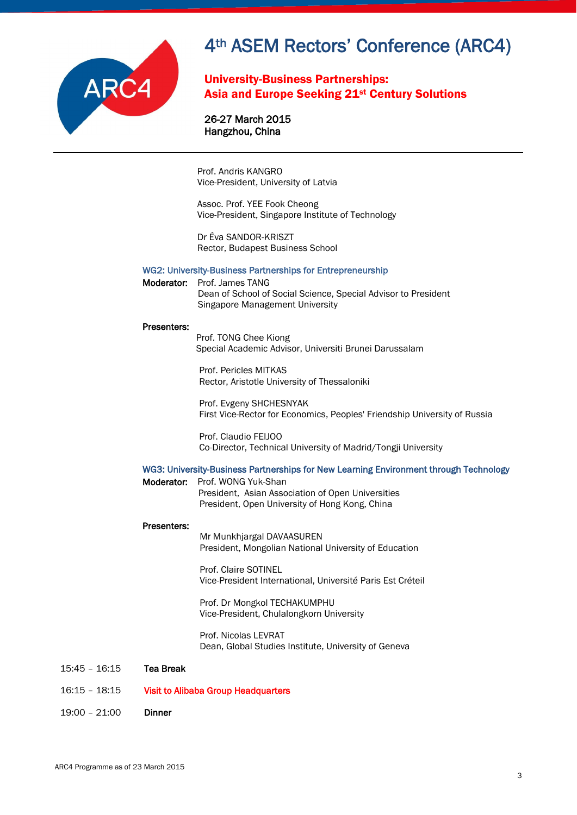

# University-Business Partnerships: Asia and Europe Seeking 21st Century Solutions

26-27 March 2015 Hangzhou, China

Prof. Andris KANGRO Vice-President, University of Latvia

Assoc. Prof. YEE Fook Cheong Vice-President, Singapore Institute of Technology

 Dr Éva SANDOR-KRISZT Rector, Budapest Business School

### WG2: University-Business Partnerships for Entrepreneurship

Moderator: Prof. James TANG Dean of School of Social Science, Special Advisor to President Singapore Management University

#### Presenters:

 Prof. TONG Chee Kiong Special Academic Advisor, Universiti Brunei Darussalam

Prof. Pericles MITKAS Rector, Aristotle University of Thessaloniki

Prof. Evgeny SHCHESNYAK First Vice-Rector for Economics, Peoples' Friendship University of Russia

Prof. Claudio FEIJOO Co-Director, Technical University of Madrid/Tongji University

#### WG3: University-Business Partnerships for New Learning Environment through Technology

Moderator: Prof. WONG Yuk-Shan President, Asian Association of Open Universities President, Open University of Hong Kong, China

#### Presenters:

Mr Munkhjargal DAVAASUREN President, Mongolian National University of Education

Prof. Claire SOTINEL Vice-President International, Université Paris Est Créteil

Prof. Dr Mongkol TECHAKUMPHU Vice-President, Chulalongkorn University

Prof. Nicolas LEVRAT Dean, Global Studies Institute, University of Geneva

- 15:45 16:15 Tea Break
- 16:15 18:15 Visit to Alibaba Group Headquarters
- 19:00 21:00 Dinner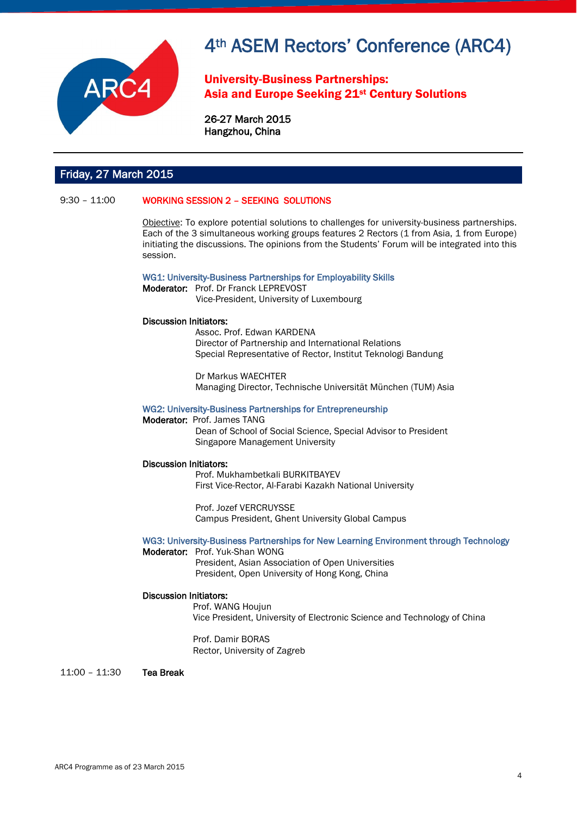

University-Business Partnerships: Asia and Europe Seeking 21st Century Solutions

26-27 March 2015 Hangzhou, China

## Friday, 27 March 2015

### 9:30 – 11:00 WORKING SESSION 2 – SEEKING SOLUTIONS

Objective: To explore potential solutions to challenges for university-business partnerships. Each of the 3 simultaneous working groups features 2 Rectors (1 from Asia, 1 from Europe) initiating the discussions. The opinions from the Students' Forum will be integrated into this session.

#### WG1: University-Business Partnerships for Employability Skills

Moderator: Prof. Dr Franck LEPREVOST Vice-President, University of Luxembourg

#### Discussion Initiators:

Assoc. Prof. Edwan KARDENA Director of Partnership and International Relations Special Representative of Rector, Institut Teknologi Bandung

Dr Markus WAECHTER Managing Director, Technische Universität München (TUM) Asia

#### WG2: University-Business Partnerships for Entrepreneurship

Moderator: Prof. James TANG

Dean of School of Social Science, Special Advisor to President Singapore Management University

#### Discussion Initiators:

Prof. Mukhambetkali BURKITBAYEV First Vice-Rector, Al-Farabi Kazakh National University

Prof. Jozef VERCRUYSSE Campus President, Ghent University Global Campus

# WG3: University-Business Partnerships for New Learning Environment through Technology

Moderator: Prof. Yuk-Shan WONG

President, Asian Association of Open Universities President, Open University of Hong Kong, China

#### Discussion Initiators:

Prof. WANG Houjun Vice President, University of Electronic Science and Technology of China

Prof. Damir BORAS Rector, University of Zagreb

**Tea Break**  $11:00 - 11:30$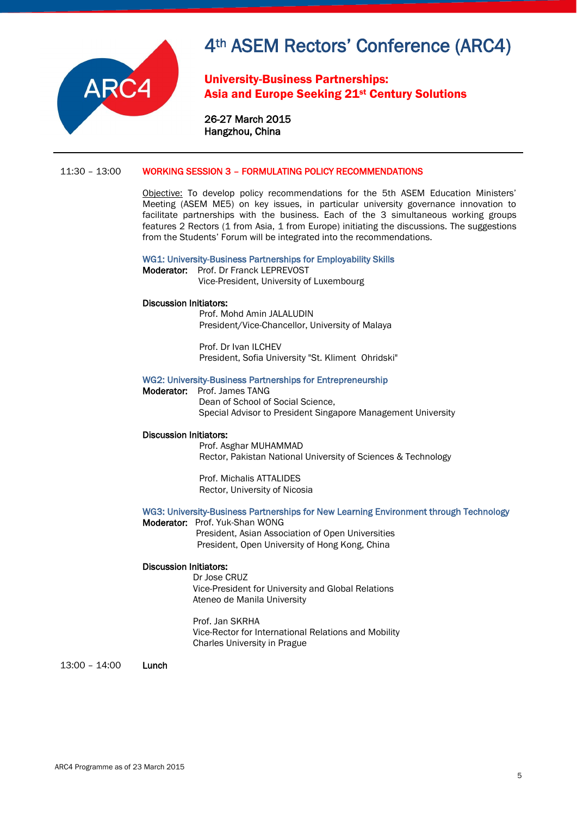

University-Business Partnerships: Asia and Europe Seeking 21st Century Solutions

26-27 March 2015 Hangzhou, China

#### 11:30 – 13:00 WORKING SESSION 3 – FORMULATING POLICY RECOMMENDATIONS

Objective: To develop policy recommendations for the 5th ASEM Education Ministers' Meeting (ASEM ME5) on key issues, in particular university governance innovation to facilitate partnerships with the business. Each of the 3 simultaneous working groups features 2 Rectors (1 from Asia, 1 from Europe) initiating the discussions. The suggestions from the Students' Forum will be integrated into the recommendations.

#### WG1: University-Business Partnerships for Employability Skills

Moderator: Prof. Dr Franck LEPREVOST Vice-President, University of Luxembourg

#### Discussion Initiators:

Prof. Mohd Amin JALALUDIN President/Vice-Chancellor, University of Malaya

Prof. Dr Ivan ILCHEV President, Sofia University "St. Kliment Ohridski"

#### WG2: University-Business Partnerships for Entrepreneurship

Moderator: Prof. James TANG Dean of School of Social Science, Special Advisor to President Singapore Management University

#### Discussion Initiators:

Prof. Asghar MUHAMMAD Rector, Pakistan National University of Sciences & Technology

Prof. Michalis ATTALIDES Rector, University of Nicosia

#### WG3: University-Business Partnerships for New Learning Environment through Technology

#### Moderator: Prof. Yuk-Shan WONG

 President, Asian Association of Open Universities President, Open University of Hong Kong, China

#### Discussion Initiators:

Dr Jose CRUZ Vice-President for University and Global Relations Ateneo de Manila University

Prof. Jan SKRHA Vice-Rector for International Relations and Mobility Charles University in Prague

Lunch  $13:00 - 14:00$ 

ARC4 Programme as of 23 March 2015